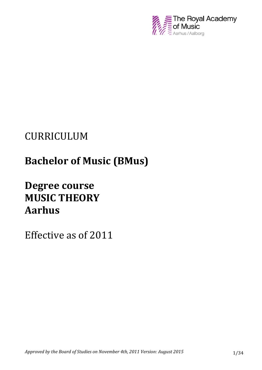

# CURRICULUM

# **Bachelor of Music (BMus)**

# **Degree course MUSIC THEORY Aarhus**

Effective as of 2011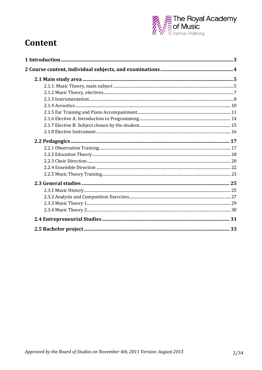

## **Content**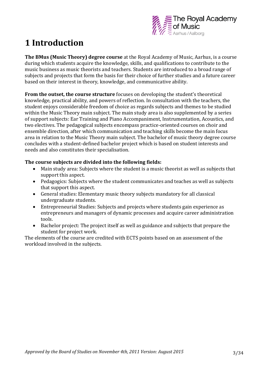

## **1 Introduction**

**The BMus (Music Theory) degree course** at the Royal Academy of Music, Aarhus, is a course during which students acquire the knowledge, skills, and qualifications to contribute to the music business as music theorists and teachers. Students are introduced to a broad range of subjects and projects that form the basis for their choice of further studies and a future career based on their interest in theory, knowledge, and communicative ability.

**From the outset, the course structure** focuses on developing the student's theoretical knowledge, practical ability, and powers of reflection. In consultation with the teachers, the student enjoys considerable freedom of choice as regards subjects and themes to be studied within the Music Theory main subject. The main study area is also supplemented by a series of support subjects: Ear Training and Piano Accompaniment, Instrumentation, Acoustics, and two electives. The pedagogical subjects encompass practice-oriented courses on choir and ensemble direction, after which communication and teaching skills become the main focus area in relation to the Music Theory main subject. The bachelor of music theory degree course concludes with a student-defined bachelor project which is based on student interests and needs and also constitutes their specialisation.

#### **The course subjects are divided into the following fields:**

- Main study area: Subjects where the student is a music theorist as well as subjects that support this aspect.
- Pedagogics: Subjects where the student communicates and teaches as well as subjects that support this aspect.
- General studies: Elementary music theory subjects mandatory for all classical undergraduate students.
- Entrepreneurial Studies: Subjects and projects where students gain experience as entrepreneurs and managers of dynamic processes and acquire career administration tools.
- Bachelor project: The project itself as well as guidance and subjects that prepare the student for project work.

The elements of the course are credited with ECTS points based on an assessment of the workload involved in the subjects.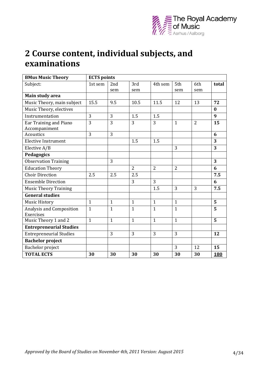

## **2 Course content, individual subjects, and examinations**

| <b>BMus Music Theory</b>              | <b>ECTS</b> points |              |                |                |                |                |            |  |
|---------------------------------------|--------------------|--------------|----------------|----------------|----------------|----------------|------------|--|
| Subject:                              | 1st sem            | 2nd          | 3rd            | 4th sem        | 5th            | 6th            | total      |  |
|                                       |                    | sem          | sem            |                | sem            | sem            |            |  |
| Main study area                       |                    |              |                |                |                |                |            |  |
| Music Theory, main subject            | 15.5               | 9.5          | 10.5           | 11.5           | 12             | 13             | 72         |  |
| Music Theory, electives               |                    |              |                |                |                |                | $\bf{0}$   |  |
| Instrumentation                       | $\overline{3}$     | 3            | 1.5            | 1.5            |                |                | 9          |  |
| Ear Training and Piano                | 3                  | 3            | $\overline{3}$ | 3              | $\mathbf{1}$   | $\overline{2}$ | 15         |  |
| Accompaniment                         |                    |              |                |                |                |                |            |  |
| <b>Acoustics</b>                      | 3                  | 3            |                |                |                |                | 6          |  |
| <b>Elective Instrument</b>            |                    |              | 1.5            | 1.5            |                |                | 3          |  |
| Elective A/B                          |                    |              |                |                | 3              |                | 3          |  |
| Pedagogics                            |                    |              |                |                |                |                |            |  |
| <b>Observation Training</b>           |                    | 3            |                |                |                |                | 3          |  |
| <b>Education Theory</b>               |                    |              | $\overline{2}$ | $\overline{2}$ | $\overline{2}$ |                | 6          |  |
| <b>Choir Direction</b>                | 2.5                | 2.5          | 2.5            |                |                |                | 7.5        |  |
| <b>Ensemble Direction</b>             |                    |              | 3              | $\overline{3}$ |                |                | 6          |  |
| <b>Music Theory Training</b>          |                    |              |                | 1.5            | 3              | 3              | 7.5        |  |
| <b>General studies</b>                |                    |              |                |                |                |                |            |  |
| <b>Music History</b>                  | $\mathbf{1}$       | $\mathbf{1}$ | $\mathbf{1}$   | $\mathbf{1}$   | $\mathbf{1}$   |                | 5          |  |
| Analysis and Composition<br>Exercises | $\mathbf{1}$       | $\mathbf{1}$ | $\mathbf{1}$   | $\mathbf{1}$   | $\mathbf{1}$   |                | 5          |  |
| Music Theory 1 and 2                  | $\mathbf{1}$       | $\mathbf{1}$ | $\mathbf{1}$   | $\mathbf{1}$   | $\mathbf{1}$   |                | 5          |  |
| <b>Entrepreneurial Studies</b>        |                    |              |                |                |                |                |            |  |
| <b>Entrepreneurial Studies</b>        |                    | 3            | 3              | 3              | 3              |                | 12         |  |
| <b>Bachelor</b> project               |                    |              |                |                |                |                |            |  |
| Bachelor project                      |                    |              |                |                | 3              | 12             | 15         |  |
| <b>TOTAL ECTS</b>                     | 30                 | 30           | 30             | 30             | 30             | 30             | <b>180</b> |  |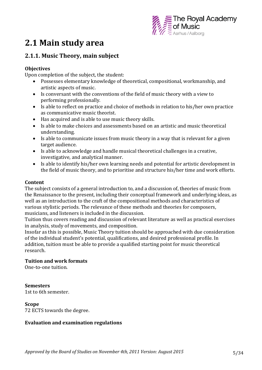

## **2.1 Main study area**

## **2.1.1. Music Theory, main subject**

#### **Objectives**

Upon completion of the subject, the student:

- Possesses elementary knowledge of theoretical, compositional, workmanship, and artistic aspects of music.
- Is conversant with the conventions of the field of music theory with a view to performing professionally.
- Is able to reflect on practice and choice of methods in relation to his/her own practice as communicative music theorist.
- Has acquired and is able to use music theory skills.
- Is able to make choices and assessments based on an artistic and music theoretical understanding.
- Is able to communicate issues from music theory in a way that is relevant for a given target audience.
- Is able to acknowledge and handle musical theoretical challenges in a creative, investigative, and analytical manner.
- Is able to identify his/her own learning needs and potential for artistic development in the field of music theory, and to prioritise and structure his/her time and work efforts.

#### **Content**

The subject consists of a general introduction to, and a discussion of, theories of music from the Renaissance to the present, including their conceptual framework and underlying ideas, as well as an introduction to the craft of the compositional methods and characteristics of various stylistic periods. The relevance of these methods and theories for composers, musicians, and listeners is included in the discussion.

Tuition thus covers reading and discussion of relevant literature as well as practical exercises in analysis, study of movements, and composition.

Insofar as this is possible, Music Theory tuition should be approached with due consideration of the individual student's potential, qualifications, and desired professional profile. In addition, tuition must be able to provide a qualified starting point for music theoretical research.

#### **Tuition and work formats**

One-to-one tuition.

#### **Semesters**

1st to 6th semester.

#### **Scope**

72 ECTS towards the degree.

#### **Evaluation and examination regulations**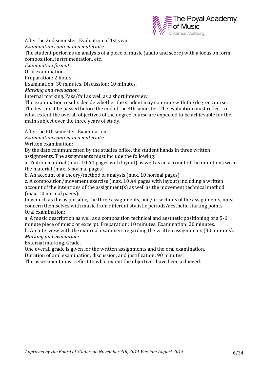

After the 2nd semester: Evaluation of 1st year

*Examination content and materials:*

The student performs an analysis of a piece of music (audio and score) with a focus on form, composition, instrumentation, etc.

*Examination format:*

Oral examination.

Preparation: 2 hours.

Examination: 30 minutes. Discussion: 10 minutes.

*Marking and evaluation:* 

Internal marking. Pass/fail as well as a short interview.

The examination results decide whether the student may continue with the degree course. The test must be passed before the end of the 4th semester. The evaluation must reflect to what extent the overall objectives of the degree course are expected to be achievable for the main subject over the three years of study.

#### After the 6th semester: Examination

*Examination content and materials:*

Written examination:

By the date communicated by the studies office, the student hands in three written assignments. The assignments must include the following:

a. Tuition material (max. 10 A4 pages with layout) as well as an account of the intentions with the material (max. 5 normal pages)

b. An account of a theory/method of analysis (max. 10 normal pages)

c. A composition/movement exercise (max. 10 A4 pages with layout) including a written account of the intentions of the assignment(s) as well as the movement technical method (max. 10 normal pages).

Inasmuch as this is possible, the three assignments, and/or sections of the assignments, must concern themselves with music from different stylistic periods/aesthetic starting points. Oral examination:

a. A music description as well as a composition technical and aesthetic positioning of a 5-6 minute piece of music or excerpt. Preparation: 10 minutes. Examination: 20 minutes.

b. An interview with the external examiners regarding the written assignments (30 minutes). *Marking and evaluation:*

External marking. Grade.

One overall grade is given for the written assignments and the oral examination.

Duration of oral examination, discussion, and justification: 90 minutes.

The assessment must reflect to what extent the objectives have been achieved.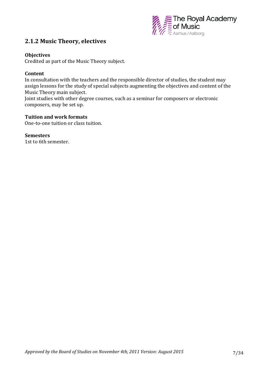

### **2.1.2 Music Theory, electives**

#### **Objectives**

Credited as part of the Music Theory subject.

#### **Content**

In consultation with the teachers and the responsible director of studies, the student may assign lessons for the study of special subjects augmenting the objectives and content of the Music Theory main subject.

Joint studies with other degree courses, such as a seminar for composers or electronic composers, may be set up.

#### **Tuition and work formats**

One-to-one tuition or class tuition.

#### **Semesters**

1st to 6th semester.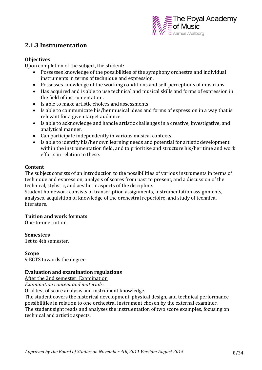

## **2.1.3 Instrumentation**

#### **Objectives**

Upon completion of the subject, the student:

- Possesses knowledge of the possibilities of the symphony orchestra and individual instruments in terms of technique and expression.
- Possesses knowledge of the working conditions and self-perceptions of musicians.
- Has acquired and is able to use technical and musical skills and forms of expression in the field of instrumentation.
- Is able to make artistic choices and assessments.
- Is able to communicate his/her musical ideas and forms of expression in a way that is relevant for a given target audience.
- Is able to acknowledge and handle artistic challenges in a creative, investigative, and analytical manner.
- Can participate independently in various musical contexts.
- Is able to identify his/her own learning needs and potential for artistic development within the instrumentation field, and to prioritise and structure his/her time and work efforts in relation to these.

#### **Content**

The subject consists of an introduction to the possibilities of various instruments in terms of technique and expression, analysis of scores from past to present, and a discussion of the technical, stylistic, and aesthetic aspects of the discipline.

Student homework consists of transcription assignments, instrumentation assignments, analyses, acquisition of knowledge of the orchestral repertoire, and study of technical literature.

#### **Tuition and work formats**

One-to-one tuition.

**Semesters** 

1st to 4th semester.

#### **Scope**

9 ECTS towards the degree.

#### **Evaluation and examination regulations**

After the 2nd semester: Examination

*Examination content and materials:*

Oral test of score analysis and instrument knowledge.

The student covers the historical development, physical design, and technical performance possibilities in relation to one orchestral instrument chosen by the external examiner. The student sight reads and analyses the instruentation of two score examples, focusing on technical and artistic aspects.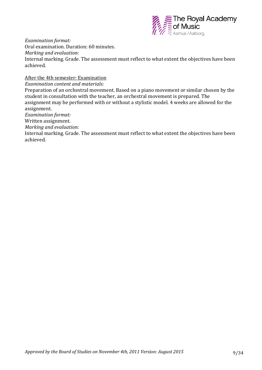

*Examination format:*

Oral examination. Duration: 60 minutes.

*Marking and evaluation:*

Internal marking. Grade. The assessment must reflect to what extent the objectives have been achieved.

After the 4th semester: Examination

*Examination content and materials:*

Preparation of an orchestral movement. Based on a piano movement or similar chosen by the student in consultation with the teacher, an orchestral movement is prepared. The assignment may be performed with or without a stylistic model. 4 weeks are allowed for the assignment.

*Examination format:*

Written assignment.

*Marking and evaluation:*

Internal marking. Grade. The assessment must reflect to what extent the objectives have been achieved.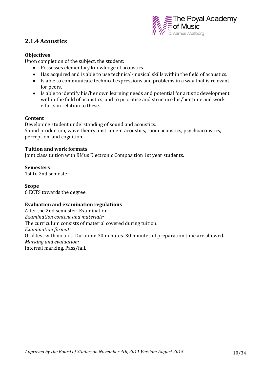

## **2.1.4 Acoustics**

#### **Objectives**

Upon completion of the subject, the student:

- Possesses elementary knowledge of acoustics.
- Has acquired and is able to use technical-musical skills within the field of acoustics.
- Is able to communicate technical expressions and problems in a way that is relevant for peers.
- Is able to identify his/her own learning needs and potential for artistic development within the field of acoustics, and to prioritise and structure his/her time and work efforts in relation to these.

#### **Content**

Developing student understanding of sound and acoustics. Sound production, wave theory, instrument acoustics, room acoustics, psychoacoustics, perception, and cognition.

#### **Tuition and work formats**

Joint class tuition with BMus Electronic Composition 1st year students.

#### **Semesters**

1st to 2nd semester.

#### **Scope**

6 ECTS towards the degree.

#### **Evaluation and examination regulations**

After the 2nd semester: Examination *Examination content and materials:*  The curriculum consists of material covered during tuition. *Examination format:*  Oral test with no aids. Duration: 30 minutes. 30 minutes of preparation time are allowed. *Marking and evaluation:*  Internal marking. Pass/fail.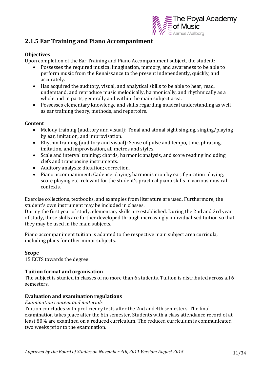

## **2.1.5 Ear Training and Piano Accompaniment**

#### **Objectives**

Upon completion of the Ear Training and Piano Accompaniment subject, the student:

- Possesses the required musical imagination, memory, and awareness to be able to perform music from the Renaissance to the present independently, quickly, and accurately.
- Has acquired the auditory, visual, and analytical skills to be able to hear, read, understand, and reproduce music melodically, harmonically, and rhythmically as a whole and in parts, generally and within the main subject area.
- Possesses elementary knowledge and skills regarding musical understanding as well as ear training theory, methods, and repertoire.

#### **Content**

- Melody training (auditory and visual): Tonal and atonal sight singing, singing/playing by ear, imitation, and improvisation.
- Rhythm training (auditory and visual): Sense of pulse and tempo, time, phrasing, imitation, and improvisation, all metres and styles.
- Scale and interval training: chords, harmonic analysis, and score reading including clefs and transposing instruments.
- Auditory analysis: dictation; correction.
- Piano accompaniment: Cadence playing, harmonisation by ear, figuration playing, score playing etc. relevant for the student's practical piano skills in various musical contexts.

Exercise collections, textbooks, and examples from literature are used. Furthermore, the student's own instrument may be included in classes.

During the first year of study, elementary skills are established. During the 2nd and 3rd year of study, these skills are further developed through increasingly individualised tuition so that they may be used in the main subjects.

Piano accompaniment tuition is adapted to the respective main subject area curricula, including plans for other minor subjects.

#### **Scope**

15 ECTS towards the degree.

#### **Tuition format and organisation**

The subject is studied in classes of no more than 6 students. Tuition is distributed across all 6 semesters.

#### **Evaluation and examination regulations**

#### *Examination content and materials*

Tuition concludes with proficiency tests after the 2nd and 4th semesters. The final examination takes place after the 6th semester. Students with a class attendance record of at least 80% are examined on a reduced curriculum. The reduced curriculum is communicated two weeks prior to the examination.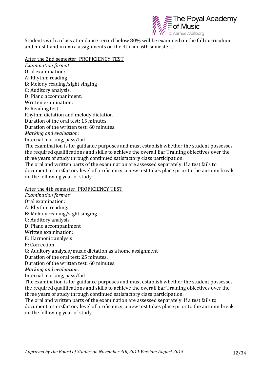

Students with a class attendance record below 80% will be examined on the full curriculum and must hand in extra assignments on the 4th and 6th semesters.

After the 2nd semester: PROFICIENCY TEST

*Examination format:* Oral examination: A: Rhythm reading B: Melody reading/sight singing C: Auditory analysis. D: Piano accompaniment. Written examination: E: Reading test Rhythm dictation and melody dictation Duration of the oral test: 15 minutes. Duration of the written test: 60 minutes. *Marking and evaluation:* Internal marking, pass/fail The examination is for guidance purposes and must establish whether the student possesses the required qualifications and skills to achieve the overall Ear Training objectives over the three years of study through continued satisfactory class participation. The oral and written parts of the examination are assessed separately. If a test fails to document a satisfactory level of proficiency, a new test takes place prior to the autumn break on the following year of study.

#### After the 4th semester: PROFICIENCY TEST

*Examination format:* Oral examination: A: Rhythm reading. B: Melody reading/sight singing. C: Auditory analysis D: Piano accompaniment Written examination: E: Harmonic analysis F: Correction G: Auditory analysis/music dictation as a home assignment Duration of the oral test: 25 minutes. Duration of the written test: 60 minutes. *Marking and evaluation:* Internal marking, pass/fail The examination is for guidance purposes and must establish whether the student possesses the required qualifications and skills to achieve the overall Ear Training objectives over the three years of study through continued satisfactory class participation. The oral and written parts of the examination are assessed separately. If a test fails to document a satisfactory level of proficiency, a new test takes place prior to the autumn break on the following year of study.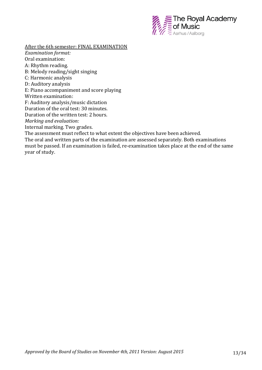

After the 6th semester: FINAL EXAMINATION

*Examination format:* Oral examination: A: Rhythm reading. B: Melody reading/sight singing C: Harmonic analysis D: Auditory analysis E: Piano accompaniment and score playing Written examination: F: Auditory analysis/music dictation Duration of the oral test: 30 minutes. Duration of the written test: 2 hours. *Marking and evaluation:* Internal marking. Two grades. The assessment must reflect to what extent the objectives have been achieved.

The oral and written parts of the examination are assessed separately. Both examinations must be passed. If an examination is failed, re-examination takes place at the end of the same year of study.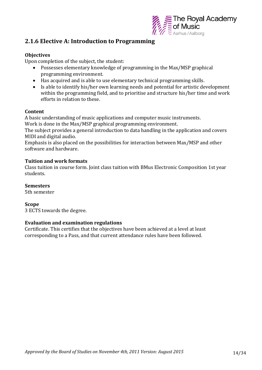

### **2.1.6 Elective A: Introduction to Programming**

#### **Objectives**

Upon completion of the subject, the student:

- Possesses elementary knowledge of programming in the Max/MSP graphical programming environment.
- Has acquired and is able to use elementary technical programming skills.
- Is able to identify his/her own learning needs and potential for artistic development within the programming field, and to prioritise and structure his/her time and work efforts in relation to these.

#### **Content**

A basic understanding of music applications and computer music instruments.

Work is done in the Max/MSP graphical programming environment.

The subject provides a general introduction to data handling in the application and covers MIDI and digital audio.

Emphasis is also placed on the possibilities for interaction between Max/MSP and other software and hardware.

#### **Tuition and work formats**

Class tuition in course form. Joint class tuition with BMus Electronic Composition 1st year students.

#### **Semesters**

5th semester

#### **Scope**

3 ECTS towards the degree.

#### **Evaluation and examination regulations**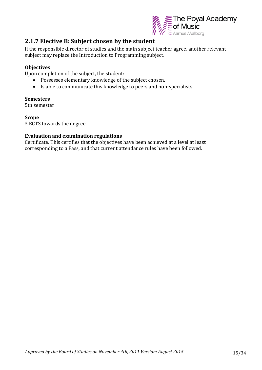

## **2.1.7 Elective B: Subject chosen by the student**

If the responsible director of studies and the main subject teacher agree, another relevant subject may replace the Introduction to Programming subject.

#### **Objectives**

Upon completion of the subject, the student:

- Possesses elementary knowledge of the subject chosen.
- Is able to communicate this knowledge to peers and non-specialists.

#### **Semesters**

5th semester

#### **Scope**

3 ECTS towards the degree.

#### **Evaluation and examination regulations**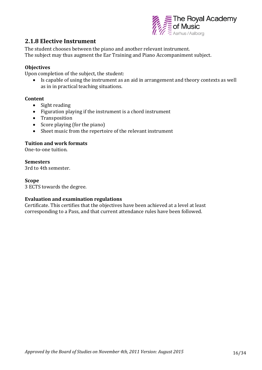

### **2.1.8 Elective Instrument**

The student chooses between the piano and another relevant instrument. The subject may thus augment the Ear Training and Piano Accompaniment subject.

#### **Objectives**

Upon completion of the subject, the student:

 Is capable of using the instrument as an aid in arrangement and theory contexts as well as in in practical teaching situations.

#### **Content**

- Sight reading
- Figuration playing if the instrument is a chord instrument
- Transposition
- $\bullet$  Score playing (for the piano)
- Sheet music from the repertoire of the relevant instrument

#### **Tuition and work formats**

One-to-one tuition.

#### **Semesters**

3rd to 4th semester.

#### **Scope**

3 ECTS towards the degree.

#### **Evaluation and examination regulations**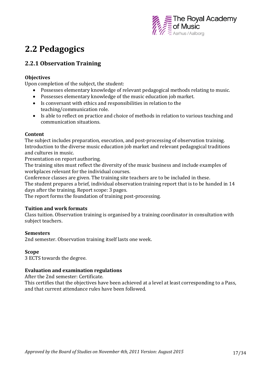

## **2.2 Pedagogics**

## **2.2.1 Observation Training**

#### **Objectives**

Upon completion of the subject, the student:

- Possesses elementary knowledge of relevant pedagogical methods relating to music.
- Possesses elementary knowledge of the music education job market.
- Is conversant with ethics and responsibilities in relation to the teaching/communication role.
- Is able to reflect on practice and choice of methods in relation to various teaching and communication situations.

#### **Content**

The subject includes preparation, execution, and post-processing of observation training. Introduction to the diverse music education job market and relevant pedagogical traditions and cultures in music.

Presentation on report authoring.

The training sites must reflect the diversity of the music business and include examples of workplaces relevant for the individual courses.

Conference classes are given. The training site teachers are to be included in these.

The student prepares a brief, individual observation training report that is to be handed in 14 days after the training. Report scope: 3 pages.

The report forms the foundation of training post-processing.

#### **Tuition and work formats**

Class tuition. Observation training is organised by a training coordinator in consultation with subject teachers.

#### **Semesters**

2nd semester. Observation training itself lasts one week.

#### **Scope**

3 ECTS towards the degree.

#### **Evaluation and examination regulations**

After the 2nd semester: Certificate.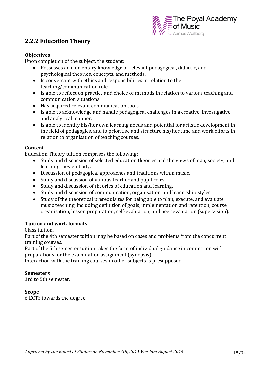

## **2.2.2 Education Theory**

#### **Objectives**

Upon completion of the subject, the student:

- Possesses an elementary knowledge of relevant pedagogical, didactic, and psychological theories, concepts, and methods.
- Is conversant with ethics and responsibilities in relation to the teaching/communication role.
- Is able to reflect on practice and choice of methods in relation to various teaching and communication situations.
- Has acquired relevant communication tools.
- Is able to acknowledge and handle pedagogical challenges in a creative, investigative, and analytical manner.
- Is able to identify his/her own learning needs and potential for artistic development in the field of pedagogics, and to prioritise and structure his/her time and work efforts in relation to organisation of teaching courses.

#### **Content**

Education Theory tuition comprises the following:

- Study and discussion of selected education theories and the views of man, society, and learning they embody.
- Discussion of pedagogical approaches and traditions within music.
- Study and discussion of various teacher and pupil roles.
- Study and discussion of theories of education and learning.
- Study and discussion of communication, organisation, and leadership styles.
- Study of the theoretical prerequisites for being able to plan, execute, and evaluate music teaching, including definition of goals, implementation and retention, course organisation, lesson preparation, self-evaluation, and peer evaluation (supervision).

#### **Tuition and work formats**

Class tuition.

Part of the 4th semester tuition may be based on cases and problems from the concurrent training courses.

Part of the 5th semester tuition takes the form of individual guidance in connection with preparations for the examination assignment (synopsis).

Interaction with the training courses in other subjects is presupposed.

#### **Semesters**

3rd to 5th semester.

#### **Scope**

6 ECTS towards the degree.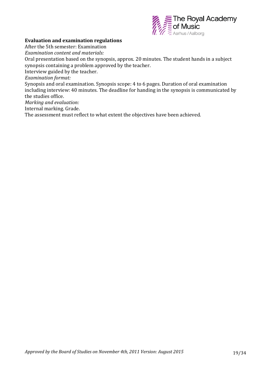

#### **Evaluation and examination regulations**

After the 5th semester: Examination

*Examination content and materials:* 

Oral presentation based on the synopsis, approx. 20 minutes. The student hands in a subject synopsis containing a problem approved by the teacher.

Interview guided by the teacher.

*Examination format:* 

Synopsis and oral examination. Synopsis scope: 4 to 6 pages. Duration of oral examination including interview: 40 minutes. The deadline for handing in the synopsis is communicated by the studies office.

*Marking and evaluation:* 

Internal marking. Grade.

The assessment must reflect to what extent the objectives have been achieved.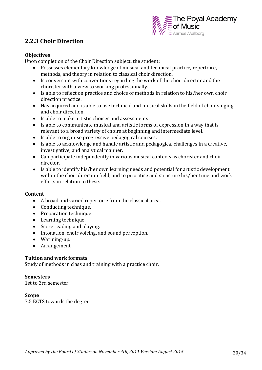

### **2.2.3 Choir Direction**

#### **Objectives**

Upon completion of the Choir Direction subject, the student:

- Possesses elementary knowledge of musical and technical practice, repertoire, methods, and theory in relation to classical choir direction.
- Is conversant with conventions regarding the work of the choir director and the chorister with a view to working professionally.
- Is able to reflect on practice and choice of methods in relation to his/her own choir direction practice.
- Has acquired and is able to use technical and musical skills in the field of choir singing and choir direction.
- Is able to make artistic choices and assessments.
- Is able to communicate musical and artistic forms of expression in a way that is relevant to a broad variety of choirs at beginning and intermediate level.
- Is able to organise progressive pedagogical courses.
- Is able to acknowledge and handle artistic and pedagogical challenges in a creative, investigative, and analytical manner.
- Can participate independently in various musical contexts as chorister and choir director.
- Is able to identify his/her own learning needs and potential for artistic development within the choir direction field, and to prioritise and structure his/her time and work efforts in relation to these.

#### **Content**

- A broad and varied repertoire from the classical area.
- Conducting technique.
- Preparation technique.
- Learning technique.
- Score reading and playing.
- Intonation, choir voicing, and sound perception.
- Warming-up.
- Arrangement

#### **Tuition and work formats**

Study of methods in class and training with a practice choir.

#### **Semesters**

1st to 3rd semester.

#### **Scope**

7.5 ECTS towards the degree.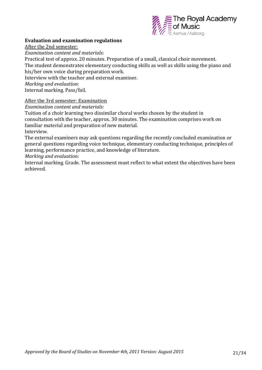

#### **Evaluation and examination regulations**

After the 2nd semester:

*Examination content and materials:*

Practical test of approx. 20 minutes. Preparation of a small, classical choir movement. The student demonstrates elementary conducting skills as well as skills using the piano and his/her own voice during preparation work.

Interview with the teacher and external examiner.

*Marking and evaluation:*

Internal marking. Pass/fail.

#### After the 3rd semester: Examination

*Examination content and materials:*

Tuition of a choir learning two dissimilar choral works chosen by the student in consultation with the teacher, approx. 30 minutes. The examination comprises work on familiar material and preparation of new material. Interview.

The external examiners may ask questions regarding the recently concluded examination or general questions regarding voice technique, elementary conducting technique, principles of learning, performance practice, and knowledge of literature.

*Marking and evaluation:*

Internal marking. Grade. The assessment must reflect to what extent the objectives have been achieved.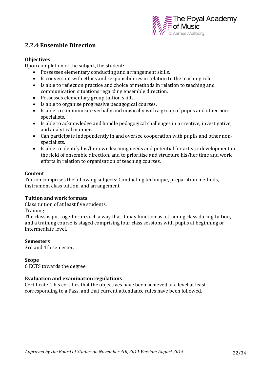

### **2.2.4 Ensemble Direction**

#### **Objectives**

Upon completion of the subject, the student:

- Possesses elementary conducting and arrangement skills.
- Is conversant with ethics and responsibilities in relation to the teaching role.
- Is able to reflect on practice and choice of methods in relation to teaching and communication situations regarding ensemble direction.
- Possesses elementary group tuition skills.
- Is able to organise progressive pedagogical courses.
- Is able to communicate verbally and musically with a group of pupils and other nonspecialists.
- Is able to acknowledge and handle pedagogical challenges in a creative, investigative, and analytical manner.
- Can participate independently in and oversee cooperation with pupils and other nonspecialists.
- Is able to identify his/her own learning needs and potential for artistic development in the field of ensemble direction, and to prioritise and structure his/her time and work efforts in relation to organisation of teaching courses.

#### **Content**

Tuition comprises the following subjects: Conducting technique, preparation methods, instrument class tuition, and arrangement.

#### **Tuition and work formats**

Class tuition of at least five students.

Training:

The class is put together in such a way that it may function as a training class during tuition, and a training course is staged comprising four class sessions with pupils at beginning or intermediate level.

#### **Semesters**

3rd and 4th semester.

#### **Scope**

6 ECTS towards the degree.

#### **Evaluation and examination regulations**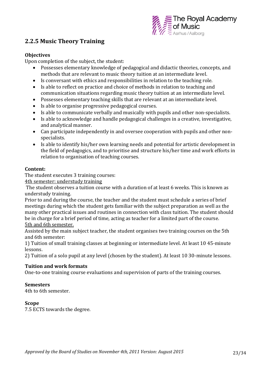

## **2.2.5 Music Theory Training**

#### **Objectives**

Upon completion of the subject, the student:

- Possesses elementary knowledge of pedagogical and didactic theories, concepts, and methods that are relevant to music theory tuition at an intermediate level.
- Is conversant with ethics and responsibilities in relation to the teaching role.
- Is able to reflect on practice and choice of methods in relation to teaching and communication situations regarding music theory tuition at an intermediate level.
- Possesses elementary teaching skills that are relevant at an intermediate level.
- Is able to organise progressive pedagogical courses.
- Is able to communicate verbally and musically with pupils and other non-specialists.
- Is able to acknowledge and handle pedagogical challenges in a creative, investigative, and analytical manner.
- Can participate independently in and oversee cooperation with pupils and other nonspecialists.
- Is able to identify his/her own learning needs and potential for artistic development in the field of pedagogics, and to prioritise and structure his/her time and work efforts in relation to organisation of teaching courses.

#### **Content:**

The student executes 3 training courses:

4th semester: understudy training

The student observes a tuition course with a duration of at least 6 weeks. This is known as understudy training.

Prior to and during the course, the teacher and the student must schedule a series of brief meetings during which the student gets familiar with the subject preparation as well as the many other practical issues and routines in connection with class tuition. The student should be in charge for a brief period of time, acting as teacher for a limited part of the course. 5th and 6th semester.

Assisted by the main subject teacher, the student organises two training courses on the 5th and 6th semester:

1) Tuition of small training classes at beginning or intermediate level. At least 10 45-minute lessons.

2) Tuition of a solo pupil at any level (chosen by the student). At least 10 30-minute lessons.

#### **Tuition and work formats**

One-to-one training course evaluations and supervision of parts of the training courses.

#### **Semesters**

4th to 6th semester.

#### **Scope**

7.5 ECTS towards the degree.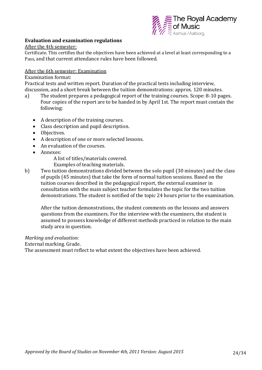

#### **Evaluation and examination regulations**

#### After the 4th semester:

Certificate. This certifies that the objectives have been achieved at a level at least corresponding to a Pass, and that current attendance rules have been followed.

#### After the 6th semester: Examination

#### Examination format:

Practical tests and written report. Duration of the practical tests including interview, discussion, and a short break between the tuition demonstrations: approx. 120 minutes.

- a) The student prepares a pedagogical report of the training courses. Scope: 8-10 pages. Four copies of the report are to be handed in by April 1st. The report must contain the following:
	- A description of the training courses.
	- Class description and pupil description.
	- Objectives.
	- A description of one or more selected lessons.
	- An evaluation of the courses.
	- Annexes:

A list of titles/materials covered.

- Examples of teaching materials.
- b) Two tuition demonstrations divided between the solo pupil (30 minutes) and the class of pupils (45 minutes) that take the form of normal tuition sessions. Based on the tuition courses described in the pedagogical report, the external examiner in consultation with the main subject teacher formulates the topic for the two tuition demonstrations. The student is notified of the topic 24 hours prior to the examination.

After the tuition demonstrations, the student comments on the lessons and answers questions from the examiners. For the interview with the examiners, the student is assumed to possess knowledge of different methods practiced in relation to the main study area in question.

#### *Marking and evaluation:*

External marking. Grade.

The assessment must reflect to what extent the objectives have been achieved.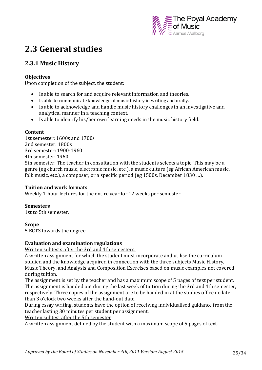

## **2.3 General studies**

## **2.3.1 Music History**

#### **Objectives**

Upon completion of the subject, the student:

- Is able to search for and acquire relevant information and theories.
- Is able to communicate knowledge of music history in writing and orally.
- Is able to acknowledge and handle music history challenges in an investigative and analytical manner in a teaching context.
- Is able to identify his/her own learning needs in the music history field.

#### **Content**

1st semester: 1600s and 1700s 2nd semester: 1800s 3rd semester: 1900‐1960 4th semester: 1960‐ 5th semester: The teacher in consultation with the students selects a topic. This may be a genre (eg church music, electronic music, etc.), a music culture (eg African American music, folk music, etc.), a composer, or a specific period (eg 1500s, December 1830 …).

#### **Tuition and work formats**

Weekly 1-hour lectures for the entire year for 12 weeks per semester.

#### **Semesters**

1st to 5th semester.

#### **Scope**

5 ECTS towards the degree.

#### **Evaluation and examination regulations**

Written subtests after the 3rd and 4th semesters.

A written assignment for which the student must incorporate and utilise the curriculum studied and the knowledge acquired in connection with the three subjects Music History, Music Theory, and Analysis and Composition Exercises based on music examples not covered during tuition.

The assignment is set by the teacher and has a maximum scope of 5 pages of text per student. The assignment is handed out during the last week of tuition during the 3rd and 4th semester, respectively. Three copies of the assignment are to be handed in at the studies office no later than 3 o'clock two weeks after the hand-out date.

During essay writing, students have the option of receiving individualised guidance from the teacher lasting 30 minutes per student per assignment.

Written subtest after the 5th semester

A written assignment defined by the student with a maximum scope of 5 pages of text.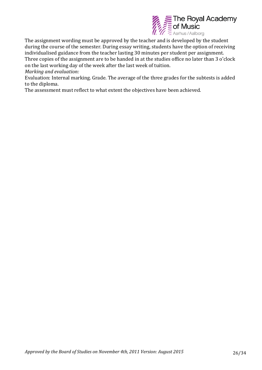

The assignment wording must be approved by the teacher and is developed by the student during the course of the semester. During essay writing, students have the option of receiving individualised guidance from the teacher lasting 30 minutes per student per assignment. Three copies of the assignment are to be handed in at the studies office no later than 3 o'clock on the last working day of the week after the last week of tuition.

*Marking and evaluation:*

Evaluation: Internal marking. Grade. The average of the three grades for the subtests is added to the diploma.

The assessment must reflect to what extent the objectives have been achieved.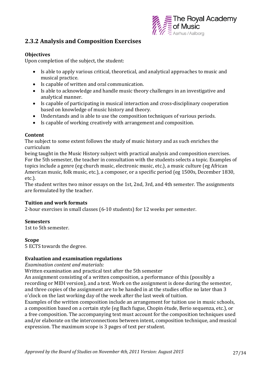

### **2.3.2 Analysis and Composition Exercises**

#### **Objectives**

Upon completion of the subject, the student:

- Is able to apply various critical, theoretical, and analytical approaches to music and musical practice.
- Is capable of written and oral communication.
- Is able to acknowledge and handle music theory challenges in an investigative and analytical manner.
- Is capable of participating in musical interaction and cross-disciplinary cooperation based on knowledge of music history and theory.
- Understands and is able to use the composition techniques of various periods.
- Is capable of working creatively with arrangement and composition.

#### **Content**

The subject to some extent follows the study of music history and as such enriches the curriculum

being taught in the Music History subject with practical analysis and composition exercises. For the 5th semester, the teacher in consultation with the students selects a topic. Examples of topics include a genre (eg church music, electronic music, etc.), a music culture (eg African American music, folk music, etc.), a composer, or a specific period (eg 1500s, December 1830, etc.).

The student writes two minor essays on the 1st, 2nd, 3rd, and 4th semester. The assignments are formulated by the teacher.

#### **Tuition and work formats**

2-hour exercises in small classes (6-10 students) for 12 weeks per semester.

#### **Semesters**

1st to 5th semester.

#### **Scope**

5 ECTS towards the degree.

#### **Evaluation and examination regulations**

*Examination content and materials:*

Written examination and practical test after the 5th semester

An assignment consisting of a written composition, a performance of this (possibly a recording or MIDI version), and a text. Work on the assignment is done during the semester, and three copies of the assignment are to be handed in at the studies office no later than 3 o'clock on the last working day of the week after the last week of tuition.

Examples of the written composition include an arrangement for tuition use in music schools, a composition based on a certain style (eg Bach fugue, Chopin étude, Berio sequenza, etc.), or a free composition. The accompanying text must account for the composition techniques used and/or elaborate on the interconnections between intent, composition technique, and musical expression. The maximum scope is 3 pages of text per student.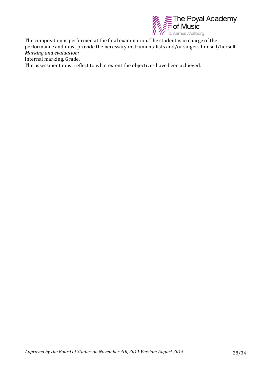

The composition is performed at the final examination. The student is in charge of the performance and must provide the necessary instrumentalists and/or singers himself/herself. *Marking and evaluation:*

Internal marking. Grade.

The assessment must reflect to what extent the objectives have been achieved.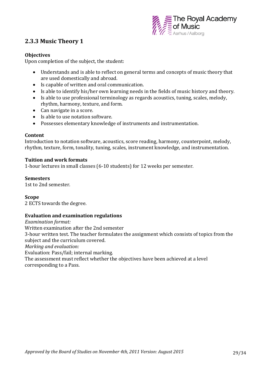

## **2.3.3 Music Theory 1**

#### **Objectives**

Upon completion of the subject, the student:

- Understands and is able to reflect on general terms and concepts of music theory that are used domestically and abroad.
- Is capable of written and oral communication.
- Is able to identify his/her own learning needs in the fields of music history and theory.
- Is able to use professional terminology as regards acoustics, tuning, scales, melody, rhythm, harmony, texture, and form.
- Can navigate in a score.
- Is able to use notation software.
- Possesses elementary knowledge of instruments and instrumentation.

#### **Content**

Introduction to notation software, acoustics, score reading, harmony, counterpoint, melody, rhythm, texture, form, tonality, tuning, scales, instrument knowledge, and instrumentation.

#### **Tuition and work formats**

1-hour lectures in small classes (6-10 students) for 12 weeks per semester.

#### **Semesters**

1st to 2nd semester.

#### **Scope**

2 ECTS towards the degree.

#### **Evaluation and examination regulations**

*Examination format:* Written examination after the 2nd semester 3-hour written test. The teacher formulates the assignment which consists of topics from the subject and the curriculum covered. *Marking and evaluation:* Evaluation: Pass/fail; internal marking. The assessment must reflect whether the objectives have been achieved at a level corresponding to a Pass.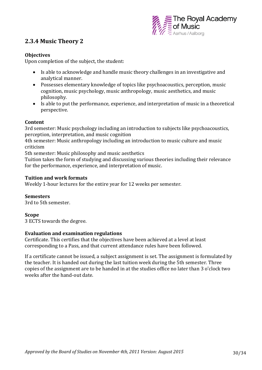

## **2.3.4 Music Theory 2**

#### **Objectives**

Upon completion of the subject, the student:

- Is able to acknowledge and handle music theory challenges in an investigative and analytical manner.
- Possesses elementary knowledge of topics like psychoacoustics, perception, music cognition, music psychology, music anthropology, music aesthetics, and music philosophy.
- Is able to put the performance, experience, and interpretation of music in a theoretical perspective.

#### **Content**

3rd semester: Music psychology including an introduction to subjects like psychoacoustics, perception, interpretation, and music cognition

4th semester: Music anthropology including an introduction to music culture and music criticism

5th semester: Music philosophy and music aesthetics

Tuition takes the form of studying and discussing various theories including their relevance for the performance, experience, and interpretation of music.

#### **Tuition and work formats**

Weekly 1-hour lectures for the entire year for 12 weeks per semester.

#### **Semesters**

3rd to 5th semester.

#### **Scope**

3 ECTS towards the degree.

#### **Evaluation and examination regulations**

Certificate. This certifies that the objectives have been achieved at a level at least corresponding to a Pass, and that current attendance rules have been followed.

If a certificate cannot be issued, a subject assignment is set. The assignment is formulated by the teacher. It is handed out during the last tuition week during the 5th semester. Three copies of the assignment are to be handed in at the studies office no later than 3 o'clock two weeks after the hand-out date.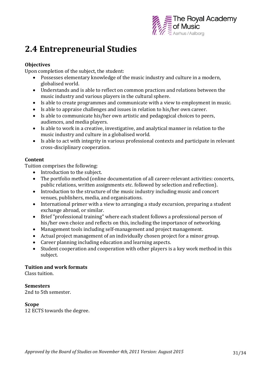

## **2.4 Entrepreneurial Studies**

#### **Objectives**

Upon completion of the subject, the student:

- Possesses elementary knowledge of the music industry and culture in a modern, globalised world.
- Understands and is able to reflect on common practices and relations between the music industry and various players in the cultural sphere.
- Is able to create programmes and communicate with a view to employment in music.
- Is able to appraise challenges and issues in relation to his/her own career.
- Is able to communicate his/her own artistic and pedagogical choices to peers, audiences, and media players.
- Is able to work in a creative, investigative, and analytical manner in relation to the music industry and culture in a globalised world.
- Is able to act with integrity in various professional contexts and participate in relevant cross-disciplinary cooperation.

#### **Content**

Tuition comprises the following:

- Introduction to the subject.
- The portfolio method (online documentation of all career-relevant activities: concerts, public relations, written assignments etc. followed by selection and reflection).
- Introduction to the structure of the music industry including music and concert venues, publishers, media, and organisations.
- International primer with a view to arranging a study excursion, preparing a student exchange abroad, or similar.
- Brief "professional training" where each student follows a professional person of his/her own choice and reflects on this, including the importance of networking.
- Management tools including self-management and project management.
- Actual project management of an individually chosen project for a minor group.
- Career planning including education and learning aspects.
- Student cooperation and cooperation with other players is a key work method in this subject.

#### **Tuition and work formats**

Class tuition.

#### **Semesters**

2nd to 5th semester.

#### **Scope**

12 ECTS towards the degree.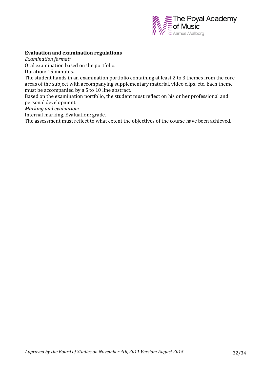

#### **Evaluation and examination regulations**

*Examination format:* 

Oral examination based on the portfolio.

Duration: 15 minutes.

The student hands in an examination portfolio containing at least 2 to 3 themes from the core areas of the subject with accompanying supplementary material, video clips, etc. Each theme must be accompanied by a 5 to 10 line abstract.

Based on the examination portfolio, the student must reflect on his or her professional and personal development.

*Marking and evaluation:*

Internal marking. Evaluation: grade.

The assessment must reflect to what extent the objectives of the course have been achieved.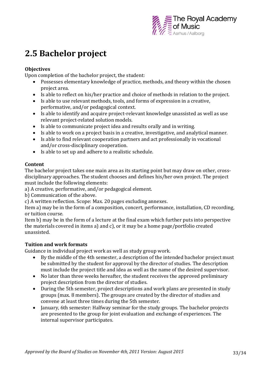

## **2.5 Bachelor project**

#### **Objectives**

Upon completion of the bachelor project, the student:

- Possesses elementary knowledge of practice, methods, and theory within the chosen project area.
- Is able to reflect on his/her practice and choice of methods in relation to the project.
- Is able to use relevant methods, tools, and forms of expression in a creative, performative, and/or pedagogical context.
- Is able to identify and acquire project-relevant knowledge unassisted as well as use relevant project-related solution models.
- Is able to communicate project idea and results orally and in writing.
- Is able to work on a project basis in a creative, investigative, and analytical manner.
- Is able to find relevant cooperation partners and act professionally in vocational and/or cross-disciplinary cooperation.
- Is able to set up and adhere to a realistic schedule.

#### **Content**

The bachelor project takes one main area as its starting point but may draw on other, crossdisciplinary approaches. The student chooses and defines his/her own project. The project must include the following elements:

a) A creative, performative, and/or pedagogical element.

b) Communication of the above.

c) A written reflection. Scope: Max. 20 pages excluding annexes.

Item a) may be in the form of a composition, concert, performance, installation, CD recording, or tuition course.

Item b) may be in the form of a lecture at the final exam which further puts into perspective the materials covered in items a) and c), or it may be a home page/portfolio created unassisted.

#### **Tuition and work formats**

Guidance in individual project work as well as study group work.

- By the middle of the 4th semester, a description of the intended bachelor project must be submitted by the student for approval by the director of studies. The description must include the project title and idea as well as the name of the desired supervisor.
- No later than three weeks hereafter, the student receives the approved preliminary project description from the director of studies.
- During the 5th semester, project descriptions and work plans are presented in study groups (max. 8 members). The groups are created by the director of studies and convene at least three times during the 5th semester.
- January, 6th semester: Halfway seminar for the study groups. The bachelor projects are presented to the group for joint evaluation and exchange of experiences. The internal supervisor participates.